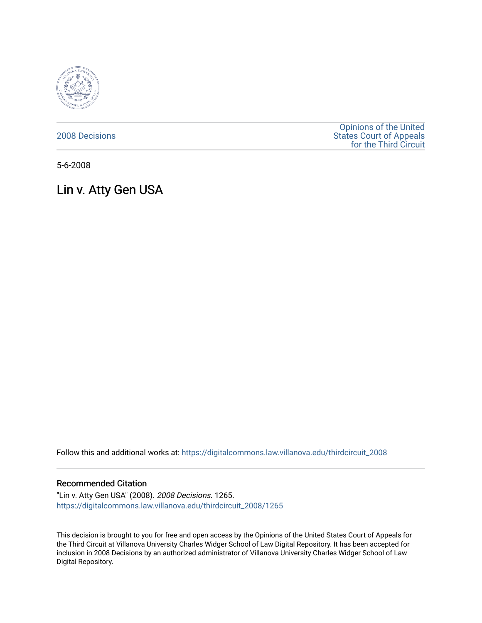

[2008 Decisions](https://digitalcommons.law.villanova.edu/thirdcircuit_2008)

[Opinions of the United](https://digitalcommons.law.villanova.edu/thirdcircuit)  [States Court of Appeals](https://digitalcommons.law.villanova.edu/thirdcircuit)  [for the Third Circuit](https://digitalcommons.law.villanova.edu/thirdcircuit) 

5-6-2008

Lin v. Atty Gen USA

Follow this and additional works at: [https://digitalcommons.law.villanova.edu/thirdcircuit\\_2008](https://digitalcommons.law.villanova.edu/thirdcircuit_2008?utm_source=digitalcommons.law.villanova.edu%2Fthirdcircuit_2008%2F1265&utm_medium=PDF&utm_campaign=PDFCoverPages) 

#### Recommended Citation

"Lin v. Atty Gen USA" (2008). 2008 Decisions. 1265. [https://digitalcommons.law.villanova.edu/thirdcircuit\\_2008/1265](https://digitalcommons.law.villanova.edu/thirdcircuit_2008/1265?utm_source=digitalcommons.law.villanova.edu%2Fthirdcircuit_2008%2F1265&utm_medium=PDF&utm_campaign=PDFCoverPages) 

This decision is brought to you for free and open access by the Opinions of the United States Court of Appeals for the Third Circuit at Villanova University Charles Widger School of Law Digital Repository. It has been accepted for inclusion in 2008 Decisions by an authorized administrator of Villanova University Charles Widger School of Law Digital Repository.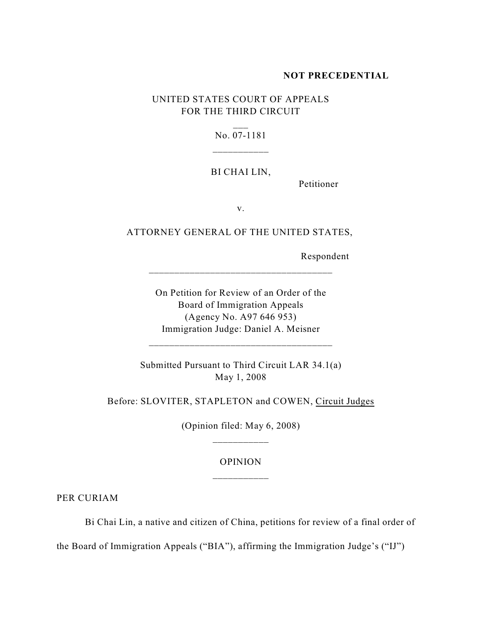### **NOT PRECEDENTIAL**

# UNITED STATES COURT OF APPEALS FOR THE THIRD CIRCUIT

## No. 07-1181

#### BI CHAI LIN,

Petitioner

v.

## ATTORNEY GENERAL OF THE UNITED STATES,

\_\_\_\_\_\_\_\_\_\_\_\_\_\_\_\_\_\_\_\_\_\_\_\_\_\_\_\_\_\_\_\_\_\_\_\_

Respondent

On Petition for Review of an Order of the Board of Immigration Appeals (Agency No. A97 646 953) Immigration Judge: Daniel A. Meisner

Submitted Pursuant to Third Circuit LAR 34.1(a) May 1, 2008

\_\_\_\_\_\_\_\_\_\_\_\_\_\_\_\_\_\_\_\_\_\_\_\_\_\_\_\_\_\_\_\_\_\_\_\_

Before: SLOVITER, STAPLETON and COWEN, Circuit Judges

(Opinion filed: May 6, 2008) \_\_\_\_\_\_\_\_\_\_\_

## OPINION \_\_\_\_\_\_\_\_\_\_\_

PER CURIAM

Bi Chai Lin, a native and citizen of China, petitions for review of a final order of

the Board of Immigration Appeals ("BIA"), affirming the Immigration Judge's ("IJ")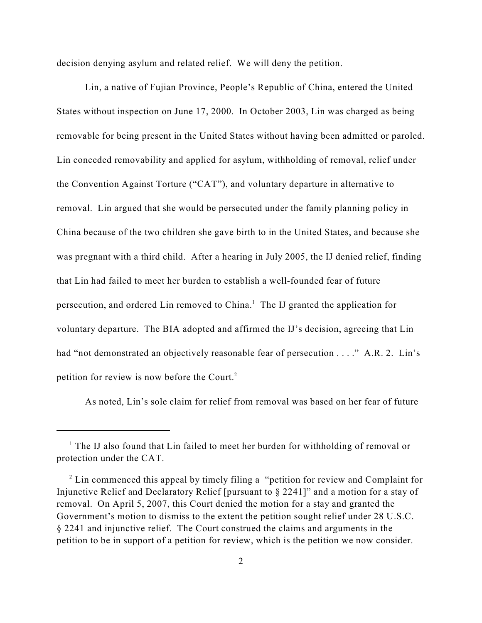decision denying asylum and related relief. We will deny the petition.

Lin, a native of Fujian Province, People's Republic of China, entered the United States without inspection on June 17, 2000. In October 2003, Lin was charged as being removable for being present in the United States without having been admitted or paroled. Lin conceded removability and applied for asylum, withholding of removal, relief under the Convention Against Torture ("CAT"), and voluntary departure in alternative to removal. Lin argued that she would be persecuted under the family planning policy in China because of the two children she gave birth to in the United States, and because she was pregnant with a third child. After a hearing in July 2005, the IJ denied relief, finding that Lin had failed to meet her burden to establish a well-founded fear of future persecution, and ordered Lin removed to  $China<sup>1</sup>$ . The IJ granted the application for voluntary departure. The BIA adopted and affirmed the IJ's decision, agreeing that Lin had "not demonstrated an objectively reasonable fear of persecution . . . ." A.R. 2. Lin's petition for review is now before the Court. $2$ 

As noted, Lin's sole claim for relief from removal was based on her fear of future

 $<sup>1</sup>$  The IJ also found that Lin failed to meet her burden for withholding of removal or</sup> protection under the CAT.

 $2^2$  Lin commenced this appeal by timely filing a "petition for review and Complaint for Injunctive Relief and Declaratory Relief [pursuant to § 2241]" and a motion for a stay of removal. On April 5, 2007, this Court denied the motion for a stay and granted the Government's motion to dismiss to the extent the petition sought relief under 28 U.S.C. § 2241 and injunctive relief. The Court construed the claims and arguments in the petition to be in support of a petition for review, which is the petition we now consider.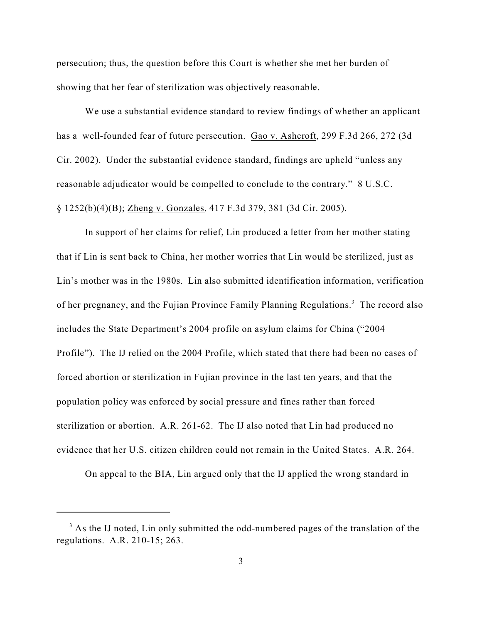persecution; thus, the question before this Court is whether she met her burden of showing that her fear of sterilization was objectively reasonable.

We use a substantial evidence standard to review findings of whether an applicant has a well-founded fear of future persecution. Gao v. Ashcroft, 299 F.3d 266, 272 (3d Cir. 2002). Under the substantial evidence standard, findings are upheld "unless any reasonable adjudicator would be compelled to conclude to the contrary." 8 U.S.C. § 1252(b)(4)(B); Zheng v. Gonzales, 417 F.3d 379, 381 (3d Cir. 2005).

In support of her claims for relief, Lin produced a letter from her mother stating that if Lin is sent back to China, her mother worries that Lin would be sterilized, just as Lin's mother was in the 1980s. Lin also submitted identification information, verification of her pregnancy, and the Fujian Province Family Planning Regulations.<sup>3</sup> The record also includes the State Department's 2004 profile on asylum claims for China ("2004 Profile"). The IJ relied on the 2004 Profile, which stated that there had been no cases of forced abortion or sterilization in Fujian province in the last ten years, and that the population policy was enforced by social pressure and fines rather than forced sterilization or abortion. A.R. 261-62. The IJ also noted that Lin had produced no evidence that her U.S. citizen children could not remain in the United States. A.R. 264.

On appeal to the BIA, Lin argued only that the IJ applied the wrong standard in

 $3$  As the IJ noted, Lin only submitted the odd-numbered pages of the translation of the regulations. A.R. 210-15; 263.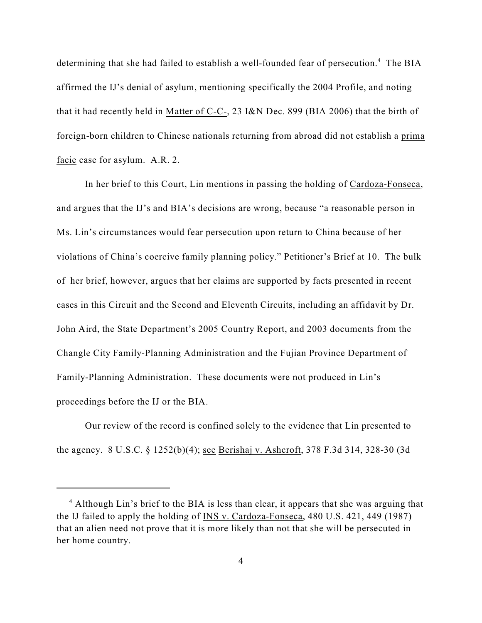determining that she had failed to establish a well-founded fear of persecution.<sup>4</sup> The BIA affirmed the IJ's denial of asylum, mentioning specifically the 2004 Profile, and noting that it had recently held in Matter of C-C-, 23 I&N Dec. 899 (BIA 2006) that the birth of foreign-born children to Chinese nationals returning from abroad did not establish a prima facie case for asylum. A.R. 2.

In her brief to this Court, Lin mentions in passing the holding of Cardoza-Fonseca, and argues that the IJ's and BIA's decisions are wrong, because "a reasonable person in Ms. Lin's circumstances would fear persecution upon return to China because of her violations of China's coercive family planning policy." Petitioner's Brief at 10. The bulk of her brief, however, argues that her claims are supported by facts presented in recent cases in this Circuit and the Second and Eleventh Circuits, including an affidavit by Dr. John Aird, the State Department's 2005 Country Report, and 2003 documents from the Changle City Family-Planning Administration and the Fujian Province Department of Family-Planning Administration. These documents were not produced in Lin's proceedings before the IJ or the BIA.

Our review of the record is confined solely to the evidence that Lin presented to the agency. 8 U.S.C. § 1252(b)(4); see Berishaj v. Ashcroft, 378 F.3d 314, 328-30 (3d

<sup>&</sup>lt;sup>4</sup> Although Lin's brief to the BIA is less than clear, it appears that she was arguing that the IJ failed to apply the holding of INS v. Cardoza-Fonseca, 480 U.S. 421, 449 (1987) that an alien need not prove that it is more likely than not that she will be persecuted in her home country.